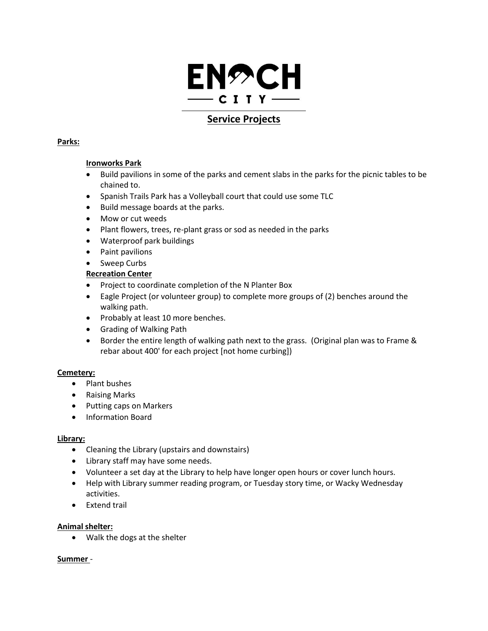

# **Service Projects**

### **Parks:**

### **Ironworks Park**

- Build pavilions in some of the parks and cement slabs in the parks for the picnic tables to be chained to.
- Spanish Trails Park has a Volleyball court that could use some TLC
- Build message boards at the parks.
- Mow or cut weeds
- Plant flowers, trees, re-plant grass or sod as needed in the parks
- Waterproof park buildings
- Paint pavilions
- Sweep Curbs

# **Recreation Center**

- Project to coordinate completion of the N Planter Box
- Eagle Project (or volunteer group) to complete more groups of (2) benches around the walking path.
- Probably at least 10 more benches.
- Grading of Walking Path
- Border the entire length of walking path next to the grass. (Original plan was to Frame & rebar about 400' for each project [not home curbing])

### **Cemetery:**

- Plant bushes
- Raising Marks
- Putting caps on Markers
- Information Board

### **Library:**

- Cleaning the Library (upstairs and downstairs)
- Library staff may have some needs.
- Volunteer a set day at the Library to help have longer open hours or cover lunch hours.
- Help with Library summer reading program, or Tuesday story time, or Wacky Wednesday activities.
- Extend trail

### **Animal shelter:**

Walk the dogs at the shelter

### **Summer** -